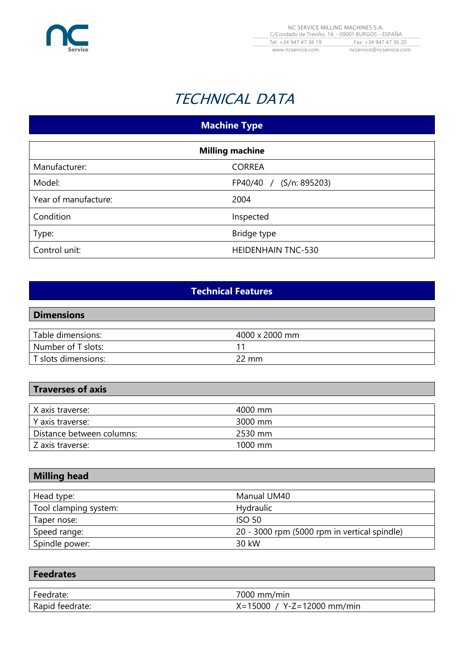

# TECHNICAL DATA

## **Machine Type**

| <b>Milling machine</b> |                           |
|------------------------|---------------------------|
| Manufacturer:          | <b>CORREA</b>             |
| Model:                 | FP40/40 / (S/n: 895203)   |
| Year of manufacture:   | 2004                      |
| Condition              | Inspected                 |
| Type:                  | Bridge type               |
| Control unit:          | <b>HEIDENHAIN TNC-530</b> |

## **Technical Features**

#### **Dimensions**

| Table dimensions:   | 4000 x 2000 mm |
|---------------------|----------------|
| Number of T slots:  |                |
| T slots dimensions: | 2 mm           |

### **Traverses of axis**

| X axis traverse:          | 4000 mm           |
|---------------------------|-------------------|
| Y axis traverse:          | 3000 mm           |
| Distance between columns: | 2530 mm           |
| Z axis traverse:          | $1000 \text{ mm}$ |

#### **Milling head**

| Head type:            | Manual UM40                                  |
|-----------------------|----------------------------------------------|
| Tool clamping system: | <b>Hydraulic</b>                             |
| Taper nose:           | <b>ISO 50</b>                                |
| Speed range:          | 20 - 3000 rpm (5000 rpm in vertical spindle) |
| Spindle power:        | 30 kW                                        |

| <b>Feedrates</b> |                              |
|------------------|------------------------------|
|                  |                              |
| Feedrate:        | 7000 mm/min                  |
| Rapid feedrate:  | $X=15000 / Y-Z=12000 mm/min$ |